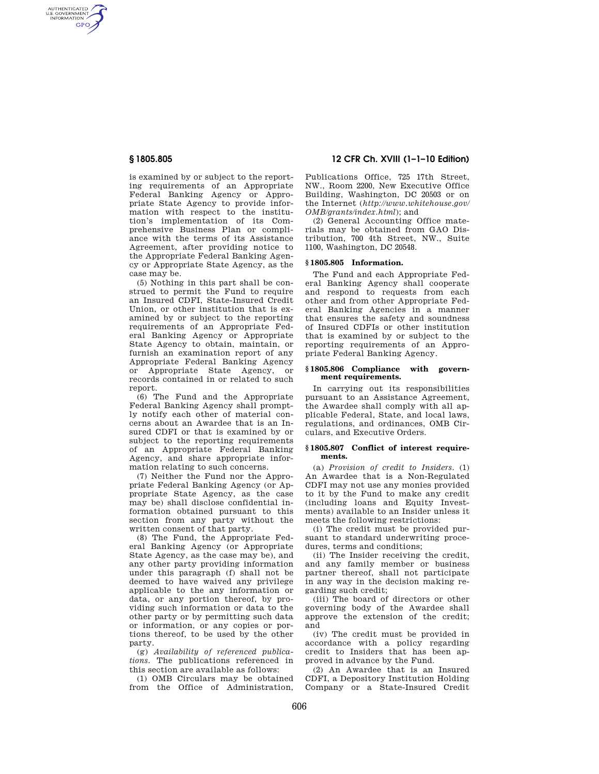AUTHENTICATED<br>U.S. GOVERNMENT<br>INFORMATION **GPO** 

> is examined by or subject to the reporting requirements of an Appropriate Federal Banking Agency or Appropriate State Agency to provide information with respect to the institution's implementation of its Comprehensive Business Plan or compliance with the terms of its Assistance Agreement, after providing notice to the Appropriate Federal Banking Agency or Appropriate State Agency, as the case may be.

> (5) Nothing in this part shall be construed to permit the Fund to require an Insured CDFI, State-Insured Credit Union, or other institution that is examined by or subject to the reporting requirements of an Appropriate Federal Banking Agency or Appropriate State Agency to obtain, maintain, or furnish an examination report of any Appropriate Federal Banking Agency or Appropriate State Agency, or records contained in or related to such report.

> (6) The Fund and the Appropriate Federal Banking Agency shall promptly notify each other of material concerns about an Awardee that is an Insured CDFI or that is examined by or subject to the reporting requirements of an Appropriate Federal Banking Agency, and share appropriate information relating to such concerns.

> (7) Neither the Fund nor the Appropriate Federal Banking Agency (or Appropriate State Agency, as the case may be) shall disclose confidential information obtained pursuant to this section from any party without the written consent of that party.

> (8) The Fund, the Appropriate Federal Banking Agency (or Appropriate State Agency, as the case may be), and any other party providing information under this paragraph (f) shall not be deemed to have waived any privilege applicable to the any information or data, or any portion thereof, by providing such information or data to the other party or by permitting such data or information, or any copies or portions thereof, to be used by the other party.

> (g) *Availability of referenced publications.* The publications referenced in this section are available as follows:

> (1) OMB Circulars may be obtained from the Office of Administration,

# **§ 1805.805 12 CFR Ch. XVIII (1–1–10 Edition)**

Publications Office, 725 17th Street, NW., Room 2200, New Executive Office Building, Washington, DC 20503 or on the Internet (*http://www.whitehouse.gov/ OMB/grants/index.html*); and

(2) General Accounting Office materials may be obtained from GAO Distribution, 700 4th Street, NW., Suite 1100, Washington, DC 20548.

## **§ 1805.805 Information.**

The Fund and each Appropriate Federal Banking Agency shall cooperate and respond to requests from each other and from other Appropriate Federal Banking Agencies in a manner that ensures the safety and soundness of Insured CDFIs or other institution that is examined by or subject to the reporting requirements of an Appropriate Federal Banking Agency.

## **§ 1805.806 Compliance with government requirements.**

In carrying out its responsibilities pursuant to an Assistance Agreement, the Awardee shall comply with all applicable Federal, State, and local laws, regulations, and ordinances, OMB Circulars, and Executive Orders.

#### **§ 1805.807 Conflict of interest requirements.**

(a) *Provision of credit to Insiders.* (1) An Awardee that is a Non-Regulated CDFI may not use any monies provided to it by the Fund to make any credit (including loans and Equity Investments) available to an Insider unless it meets the following restrictions:

(i) The credit must be provided pursuant to standard underwriting procedures, terms and conditions;

(ii) The Insider receiving the credit, and any family member or business partner thereof, shall not participate in any way in the decision making regarding such credit;

(iii) The board of directors or other governing body of the Awardee shall approve the extension of the credit; and

(iv) The credit must be provided in accordance with a policy regarding credit to Insiders that has been approved in advance by the Fund.

(2) An Awardee that is an Insured CDFI, a Depository Institution Holding Company or a State-Insured Credit